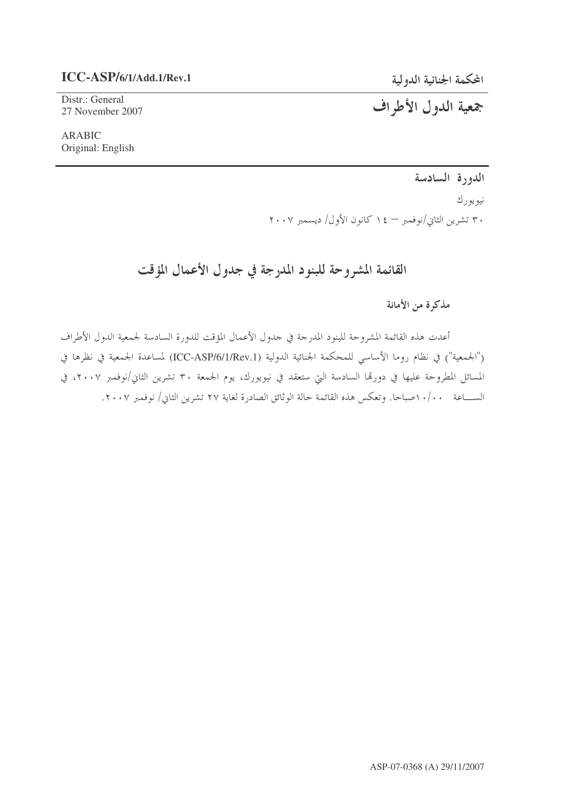# $ICC-ASP/6/1/Add.1/Rev.1$

Distr.: General 27 November 2007 المحكمة الجنائية الدولية

جمعية الدول الأطراف

**ARABIC** Original: English

الدورة السادسة

نيويورك

۳۰ تشرین الثانی/نوفمبر – ۱٤ کانون الأول/ دیسمبر ۲۰۰۷

# القائمة المشروحة للبنود المدرجة في جدول الأعمال المؤقت

مذكرة من الأمانة

أعدت هذه القائمة المشروحة للبنود المدرجة في جدول الأعمال المؤقت للدورة السادسة لجمعية الدول الأطراف ("الجمعية") في نظام روما الأساسي للمحكمة الجنائية الدولية (ICC-ASP/6/1/Rev.1) لمساعدة الجمعية في نظرها في المسائل المطروحة عليها في دورقما السادسة التي ستعقد في نيويورك، يوم الجمعة ٣٠ تشرين الثاني/نوفمبر ٢٠٠٧، في الســــاعة ١٠/٠٠صباحا. وتعكس هذه القائمة حالة الوثائق الصادرة لغاية ٢٧ تشرين الثاني/ نوفمبر ٢٠٠٧.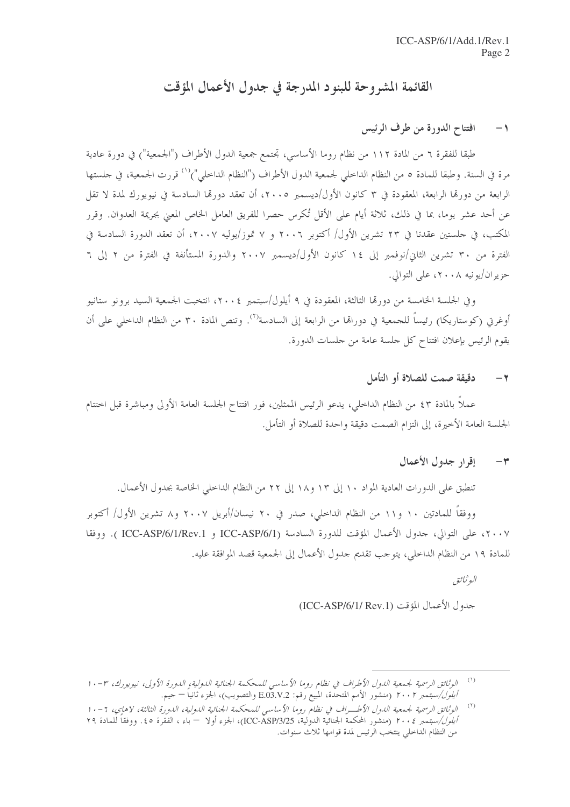# القائمة المشروحة للبنود المدرجة في جدول الأعمال المؤقت

#### افتتاح الدورة من طرف الرئيس  $-1$

طبقا للفقرة ٦ من المادة ١١٢ من نظام روما الأساسي، تجتمع جمعية الدول الأطراف ("الجمعية") في دورة عادية مرة في السنة. وطبقا للمادة ٥ من النظام الداخلي لجمعية الدول الأطراف ("النظام الداخلي")<sup>(١)</sup> قررت الجمعية، في حلستها الرابعة من دورهّا الرابعة، المعقودة في ٣ كانون الأول/ديسمبر ٢٠٠٥، أن تعقد دورهّا السادسة في نيويورك لمدة لا تقل عن أحد عشر يوما، بما في ذلك، ثلاثة أيام على الأقل تُكرس حصرا للفريق العامل الخاص المعنى بجريمة العدوان. وقرر المكتب، في حلستين عقدتا في ٢٣ تشرين الأول/ أكتوبر ٢٠٠٦ و ٧ تموز/يوليه ٢٠٠٧، أن تعقد الدورة السادسة في الفترة من ٣٠ تشرين الثاني/نوفمبر إلى ١٤ كانون الأول/ديسمبر ٢٠٠٧ والدورة المستأنفة في الفترة من ٢ إلى ٦ حزيران/يونيه ٢٠٠٨، على التوالي.

وفي الجلسة الخامسة من دورةما الثالثة، المعقودة في ٩ أيلول/سبتمبر ٢٠٠٤، انتخبت الجمعية السيد برونو ستانيو أوغرتي (كوستاريكا) رئيساً للجمعية في دوراقيا من الرابعة إلى السادسة<sup>(٢)</sup>. وتنص المادة ٣٠ من النظام الداخلي على أن يقوم الرئيس بإعلان افتتاح كل جلسة عامة من جلسات الدورة.

#### دقيقة صمت للصلاة أو التأمل  $-\tau$

عملاً بالمادة ٤٣ من النظام الداخلي، يدعو الرئيس الممثلين، فور افتتاح الجلسة العامة الأولى ومباشرة قبل اختتام الجلسة العامة الأخيرة، إلى التزام الصمت دقيقة واحدة للصلاة أو التأمل.

#### إقرار جدول الأعمال  $-\tau$

تنطبق على الدورات العادية المواد ١٠ إلى ١٣ و١٨ إلى ٢٢ من النظام الداخلي الخاصة بجدول الأعمال.

ووفقاً للمادتين ١٠ و١١ من النظام الداخلي، صدر في ٢٠ نيسان/أبريل ٢٠٠٧ و٨ تشرين الأول/ أكتوبر ٢٠٠٧، على التوالي، حدول الأعمال المؤقت للدورة السادسة (ICC-ASP/6/1/Rev.1 و ICC-ASP/6/1/Rev.1 ). ووفقا للمادة ١٩ من النظام الداخلي، يتوجب تقديم جدول الأعمال إلى الجمعية قصد الموافقة عليه.

البوثيائق

جدول الأعمال المؤقت (ICC-ASP/6/1/ Rev.1)

 $(1)$ الوثائق الرسمية لجمعية الدول الأطراف في نظام روما الأساسي للمحكمة الجنائية الدولية، الدورة الأولى، نيويورك، ٣-١٠ *أيلول/سبتمبر ٢٠٠٢* (منشور الأمم المتحدة، المبيع رقم: E.O3.V.2 والتصويب)، الجزء ثانياً — حيم.

الوثائق الرسمية لجيمعية الدول الأطب(ف في نظام روما الأساسي للمحكمة الجنائية الدولية، الدورة الثالثة، لاهاي، 1-١٠  $(\mathsf{1})$ *أيلول/سبتمبر ٢٠٠٤* (منشور المحكمة الجنائية الدولية، ICC-ASP/3/25)، الجزء أولا — باء ، الفقرة ٤٥. ووفقاً للمادة ٢٩ من النظام الداخلي ينتخب الرئيس لمدة قوامها ثلاث سنوات.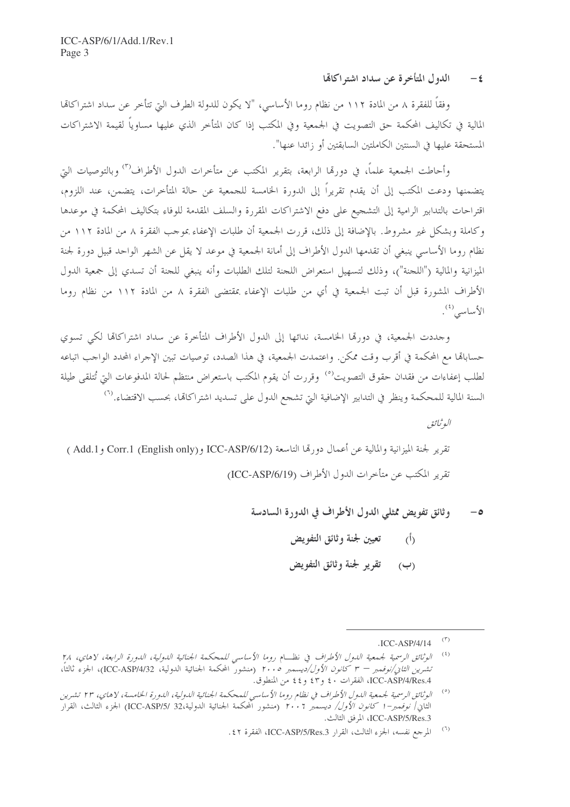الدول المتأخرة عن سداد اشتراكالها  $-\epsilon$ 

وفقاً للفقرة ٨ من المادة ١١٢ من نظام روما الأساسي، "لا يكون للدولة الطرف التي تتأخر عن سداد اشتراكاها المالية في تكاليف المحكمة حق التصويت في الجمعية وفي المكتب إذا كان المتأخر الذي عليها مساوياً لقيمة الاشتراكات المستحقة عليها في السنتين الكاملتين السابقتين أو زائدا عنها".

وأحاطت الجمعية علماً، في دورهّا الرابعة، بتقرير المكتب عن متأخرات الدول الأطراف<sup>(٣)</sup> وبالتوصيات التي يتضمنها ودعت المكتب إلى أن يقدم تقريراً إلى الدورة الخامسة للجمعية عن حالة المتأخرات، يتضمن، عند اللزوم، اقتراحات بالتدابير الرامية إلى التشجيع على دفع الاشتراكات المقررة والسلف المقدمة للوفاء بتكاليف المحكمة في موعدها وكاملة وبشكل غير مشروط. بالإضافة إلى ذلك، قررت الجمعية أن طلبات الإعفاء بموحب الفقرة ٨ من المادة ١١٢ من نظام روما الأساسي ينبغي أن تقدمها الدول الأطراف إلى أمانة الجمعية في موعد لا يقل عن الشهر الواحد قبيل دورة لجنة الميزانية والمالية ("اللجنة")، وذلك لتسهيل استعراض اللجنة لتلك الطلبات وأنه ينبغي للجنة أن تسدي إلى جمعية الدول الأطراف المشورة قبل أن تبت الجمعية في أي من طلبات الإعفاء بمقتضى الفقرة ٨ من المادة ١١٢ من نظام روما الأساسى<sup>(٤)</sup>.

وجددت الجمعية، في دورقما الخامسة، ندائها إلى الدول الأطراف المتأخرة عن سداد اشتراكالها لكي تسوي حسابالها مع المحكمة في أقرب وقت ممكن. واعتمدت الجمعية، في هذا الصدد، توصيات تبين الإجراء المحدد الواحب اتباعه لطلب إعفاءات من فقدان حقوق التصويت<sup>(٥)</sup> وقررت أن يقوم المكتب باستعراض منتظم لحالة المدفوعات التي تُتلقى طيلة السنة المالية للمحكمة وينظر في التدابير الإضافية التي تشجع الدول على تسديد اشتراكاتما، بحسب الاقتضاء.<sup>(٦)</sup>

البوثيائق تقرير لجنة الميزانية والمالية عن أعمال دورهّا التاسعة (ICC-ASP/6/12 و(Add.1 وCorr.1 (English only وAdd.1 ) تقرير المكتب عن متأخرات الدول الأطراف (ICC-ASP/6/19)

- وثائق تفويض ممثلي الدول الأطراف في الدورة السادسة  $-\circ$ 
	- تعيين لجنة وثائق التفويض  $\overline{(\mathfrak{h})}$
	- تقرير لجنة وثائق التفويض  $(\cup)$

 $(\tilde{\mathbf{r}})$  $ICC-ASP/4/14$ 

 $(\mathfrak{t})$ الوثائق الرسمية لجمعية الدول الأطراف في نظـام روما الأساسي للمحكمة الجنائية الدولية، الدورة الرابعة، لاهاي، ٢٨ تشر*ين الثانى/نوفمبر – ٣ كانون الأول/ديسمبر ٢٠٠٥* (منشور المحكمة الجنائية الدولية، ICC-ASP/4/32)، الجزء ثالثاً، ICC-ASP/4/Res.4، الفقرات ٤٠ و٤٢ و٤٤ من المنطوق.

 $\left( \begin{smallmatrix} \circ \\ \circ \end{smallmatrix} \right)$ الوثائق الرسمية لجمعية اللبول الأطراف في نظام روما الأساسي للمحكمة الجنائية اللبولية، اللبورة الخامسة، لاهاي، ٢٣ تشرين الثاني/ *نوفمبر*–1 *كانون الأول/ ديسمبر ٢٠٠*٠ (منشور المحكمة الجنائية الدولية،32 /ICC-ASP/5) الجزء الثالث، القرار ICC-ASP/5/Res.3، المرفق الثالث.

 $(\ulcorner)$ المرجع نفسه، الجزء الثالث، القرار ICC-ASP/5/Res.3، الفقرة ٤٢.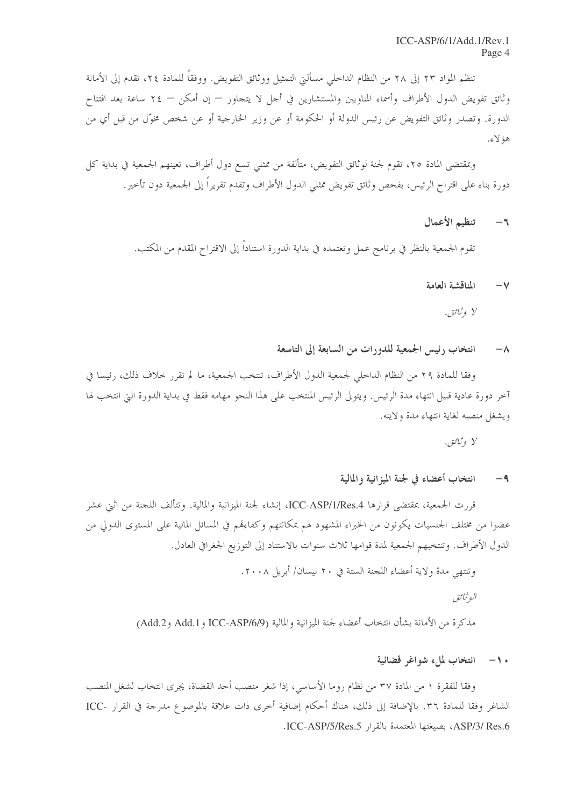تنظم المواد ٢٣ إلى ٢٨ من النظام الداحلي مسألتي التمثيل ووثائق التفويض. ووفقاً للمادة ٢٤، تقدم إلى الأمانة وثائق تفويض الدول الأطراف وأسماء المناوبين والمستشارين في أجل لا يتجاوز — إن أمكن — ٢٤ ساعة بعد افتتاح الدورة. وتصدر وثائق التفويض عن رئيس الدولة أو الحكومة أو عن وزير الخارجية أو عن شخص مخوّل من قبل أي من هؤ لاءِ.

وبمقتضى المادة ٢٥، تقوم لجنة لوثائق التفويض، متألفة من ممثلي تسع دول أطراف، تعينهم الجمعية في بداية كل دورة بناء على اقتراح الرئيس، بفحص وثائق تفويض ممثلي الدول الأطراف وتقدم تقريراً إلى الجمعية دون تأحير .

#### تنظيم الأعمال  $-\pi$

تقوم الجمعية بالنظر في برنامج عمل وتعتمده في بداية الدورة استناداً إلى الاقتراح المقدم من المكتب.

#### المناقشة العامة  $-\vee$

#### انتخاب رئيس الجمعية للدورات من السابعة إلى التاسعة  $-\lambda$

وفقا للمادة ٢٩ من النظام الداخلي لجمعية الدول الأطراف، تنتخب الجمعية، ما لم تقرر خلاف ذلك، رئيسا في آخر دورة عادية قبيل انتهاء مدة الرئيس. ويتولى الرئيس المنتخب على هذا النحو مهامه فقط في بداية الدورة التي انتخب لها ويشغل منصبه لغاية انتهاء مدة ولايته.

#### انتخاب أعضاء في لجنة الميز انية والمالية  $-9$

قررت الجمعية، بمقتضى قرارها ICC-ASP/1/Res.4، إنشاء لجنة الميزانية والمالية. وتتألف اللحنة من اثني عشر عضوا من مختلف الجنسيات يكونون من الخبراء المشهود لهم بمكانتهم وكفاءقمم في المسائل المالية على المستوى الدولي من الدول الأطراف. وتنتخبهم الجمعية لمدة قوامها ثلاث سنوات بالاستناد إلى التوزيع الجغرافي العادل.

وتنتهي مدة ولاية أعضاء اللجنة الستة في ٢٠ نيسان/ أبريل ٢٠٠٨.

البوثيائق

مذكرة من الأمانة بشأن انتخاب أعضاء لجنة الميزانية والمالية (ICC-ASP/6/9 و Add.2 و Add.2)

### . ١- انتخاب لملء شواغر قضائية

وفقا للفقرة ١ من المادة ٣٧ من نظام روما الأساسي، إذا شغر منصب أحد القضاة، يجرى انتخاب لشغل المنصب الشاغر وفقا للمادة ٣٦. بالإضافة إلى ذلك، هناك أحكام إضافية أخرى ذات علاقة بالموضوع مدرجة في القرار -ICC ASP/3/ Res.6، بصيغتها المعتمدة بالقرار ICC-ASP/5/Res.5.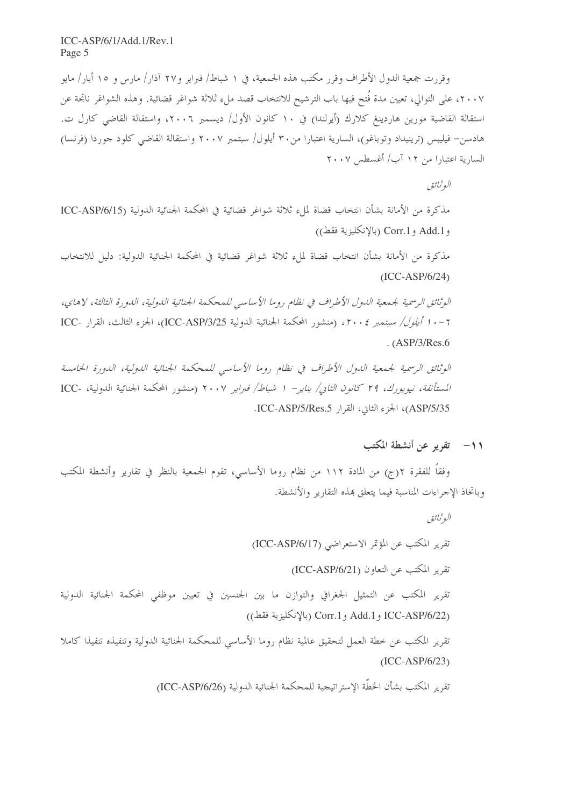وقررت جمعية الدول الأطراف وقرر مكتب هذه الجمعية، في ١ شباط/ فبراير و٢٧ آذار/ مارس و ١٥ أيار/ مايو ٢٠٠٧، على التوالي، تعيين مدة فَتح فيها باب الترشيح للانتخاب قصد ملء ثلاثة شواغر قضائية. وهذه الشواغر ناتجة عن استقالة القاضية مورين هاردينغ كلارك (أيرلندا) في ١٠ كانون الأول/ ديسمبر ٢٠٠٦، واستقالة القاضي كارل ت. هادسن– فيليبس (ترينيداد وتوباغو)، السارية اعتبارا من٣٠ أيلول/ سبتمبر ٢٠٠٧ واستقالة القاضي كلود جوردا (فرنسا) السارية اعتبارا من ١٢ آب/ أغسطس ٢٠٠٧

البوثيائق

مذكرة من الأمانة بشأن انتخاب قضاة لملء ثلاثة شواغر قضائية في المحكمة الجنائية الدولية (ICC-ASP/6/15 و Add.1 و Corr.1 (بالإنكليزية فقط))

مذكرة من الأمانة بشأن انتخاب قضاة لملء ثلاثة شواغر قضائية في المحكمة الجنائية الدولية: دليل للانتخاب  $(ICC-ASP/6/24)$ 

الوثائق الرسمية لجمعية الدول الأطراف في نظام روما الأساسي للمحكمة الجنائية الدولية، الدورة الثالثة، لاهاي، 7 - • 1 أ*يلول/ سبتمبر ٢٠٠٤،* (منشور المحكمة الجنائية الدولية ICC-ASP/3/25)، الجزء الثالث، القرار -ICC  $(ASP/3/Res.6$ 

الوثائق الرسمية لجيمعية اللهول الأطراف في نظام روما الأساسي للمحكمة الجنائية اللهولية، اللهورة الخامسة المستأنفة، نيويورك، ٢٩ كانون الثاني/ يناير- ١ شباط/ فبراير ٢٠٠٧ (منشور المحكمة الجنائية الدولية، -ICC ASP/5/35)، الجزء الثاني، القرار ICC-ASP/5/Res.5.

## 11- تقرير عن أنشطة المكتب

وفقا للفقرة ٢(ج) من المادة ١١٢ من نظام روما الأساسي، تقوم الجمعية بالنظر في تقارير وأنشطة المكتب وباتخاذ الإحراءات المناسبة فيما يتعلق بمذه التقارير والأنشطة.

البوثيائق

تقرير المكتب عن المؤتمر الاستعراضي (ICC-ASP/6/17)

تقرير المكتب عن التعاون (ICC-ASP/6/21)

تقرير المكتب عن التمثيل الجغرافي والتوازن ما بين الجنسين في تعيين موظفي المحكمة الجنائية الدولية (بالإنكليزية فقط) Corr.1 و Corr.1 (بالإنكليزية فقط))

تقرير المكتب عن خطة العمل لتحقيق عالمية نظام روما الأساسي للمحكمة الجنائية الدولية وتنفيذه تنفيذا كاملا  $(ICC-ASP/6/23)$ 

تقرير المكتب بشأن الخطَّة الاستراتيجية للمحكمة الجنائية الدولية (ICC-ASP/6/26)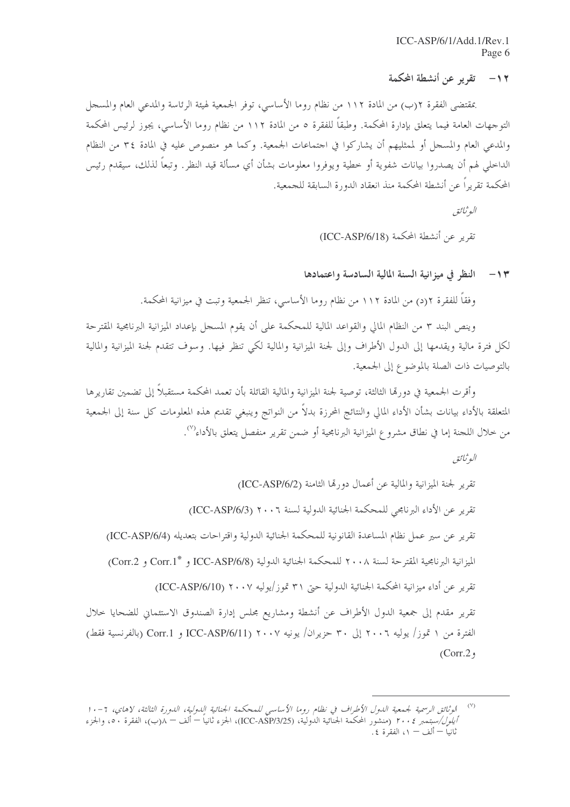### ١٢ – \_ تقرير عن أنشطة المحكمة

بمقتضى الفقرة ٢(ب) من المادة ١١٢ من نظام روما الأساسي، توفر الجمعية لهيئة الرئاسة والمدعى العام والمسجل التوجهات العامة فيما يتعلق بإدارة المحكمة. وطبقاً للفقرة ٥ من المادة ١١٢ من نظام روما الأساسي، يجوز لرئيس المحكمة والمدعى العام والمسجل أو لممثليهم أن يشاركوا في احتماعات الجمعية. وكما هو منصوص عليه في المادة ٣٤ من النظام الداخلي لهم أن يصدروا بيانات شفوية أو خطية ويوفروا معلومات بشأن أي مسألة قيد النظر. وتبعاً لذلك، سيقدم رئيس المحكمة تقريراً عن أنشطة المحكمة منذ انعقاد الدورة السابقة للجمعية.

البوثيائق

تقرير عن أنشطة المحكمة (ICC-ASP/6/18)

#### النظر في ميزانية السنة المالية السادسة واعتمادها  $-11$

وفقاً للفقرة ٢(د) من المادة ١١٢ من نظام روما الأساسي، تنظر الجمعية وتبت في ميزانية المحكمة.

وينص البند ٣ من النظام المالي والقواعد المالية للمحكمة على أن يقوم المسجل بإعداد الميزانية البرنامجية المقترحة لكل فترة مالية ويقدمها إلى الدول الأطراف وإلى لجنة الميزانية والمالية لكي تنظر فيها. وسوف تتقدم لجنة الميزانية والمالية بالتوصيات ذات الصلة بالموضوع إلى الجمعية.

وأقرت الجمعية في دورتما الثالثة، توصية لجنة الميزانية والمالية القائلة بأن تعمد المحكمة مستقبلاً إلى تضمين تقاريرها المتعلقة بالأداء بيانات بشأن الأداء المالي والنتائج المحرزة بدلاً من النواتج وينبغي تقديم هذه المعلومات كل سنة إلى الجمعية من خلال اللجنة إما في نطاق مشروع الميزانية البرنامجية أو ضمن تقرير منفصل يتعلق بالأداء<sup>(٧)</sup>.

البوثيائق

الموثائق الرسمية لجمعية اللهول الأطراف في نظام روما الأساسي للمحكمة الجنائية اللهولية، اللهورة الثالثة، لاهاي، ٦-١٠  $(\vee)$ *أيلول/سبتمبر ٢٠٠٤* (منشور المحكمة الجنّائية الدوليّة، (ICC-ASP/3/25)، الجزء ثانياً – ألّف – ((ب)، الفقرة ٥٠، والجزء ثانياً — ألف — ١، الفقرة ٤.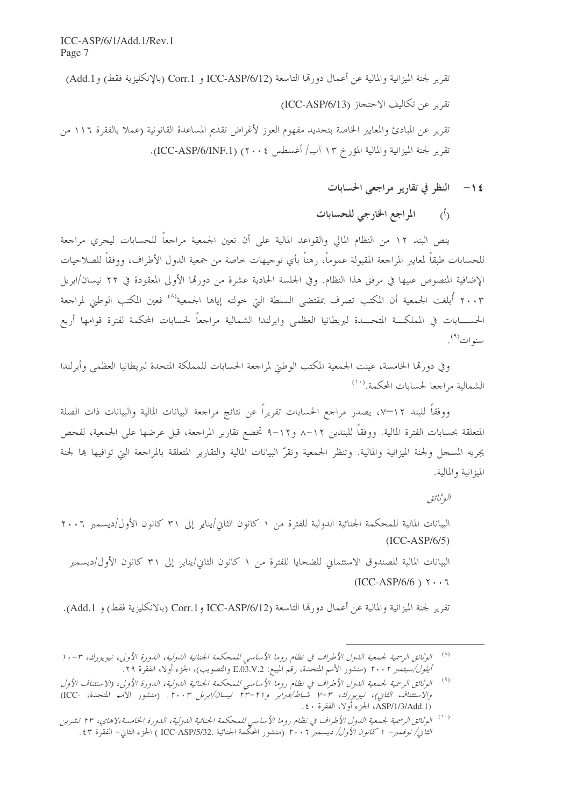تقرير لجنة الميزانية والمالية عن أعمال دورتما التاسعة (ICC-ASP/6/12 و Corr.1 (بالإنكليزية فقط) و Add.1) تقرير عن تكاليف الاحتجاز (ICC-ASP/6/13) تقرير عن المبادئ والمعايير الخاصة بتحديد مفهوم العوز لأغراض تقديم المساعدة القانونية (عملا بالفقرة ١١٦ من تقرير لجنة الميزانية والمالية المؤرخ ١٣ آب/ أغسطس ٢٠٠٤) (ICC-ASP/6/INF.1).

١٤ – النظر في تقارير مراجعي الحسابات

(أ) المراجع الخارجي للحسابات

ينص البند ١٢ من النظام المالي والقواعد المالية على أن تعين الجمعية مراجعاً للحسابات ليجري مراجعة للحسابات طبقاً لمعايير المراجعة المقبولة عموماً، رهناً بأى توجيهات خاصة من جمعية الدول الأطراف، ووفقاً للصلاحيات الإضافية المنصوص عليها في مرفق هذا النظام. وفي الجلسة الحادية عشرة من دورتما الأولى المعقودة في ٢٢ نيسان/ابريل ٢٠٠٣ أُبلغت الجمعية أن المكتب تصرف بمقتضى السلطة التي حولته إياها الجمعية<sup>(٨)</sup> فعين المكتب الوطني لمراجعة الحســــابات في المملكـــة المتحــــدة لبريطانيا العظمى وايرلندا الشمالية مراجعاً لحسابات المحكمة لفترة قوامها أربع سنوات<sup>(۹)</sup>.

وفي دورقما الخامسة، عينت الجمعية المكتب الوطني لمراجعة الحسابات للمملكة المتحدة لبريطانيا العظمى وأيرلندا الشمالية مراجعا لحسابات المحكمة.<sup>(۱۰)</sup>

ووفقا للبند ١٢–٥، يصدر مراجع الحسابات تقريرا عن نتائج مراجعة البيانات المالية والبيانات ذات الصلة المتعلقة بحسابات الفترة المالية. ووفقاً للبندين ١٢–٨ و١٢–٩ تخضع تقارير المراجعة، قبل عرضها على الجمعية، لفحص يجريه المسجل ولجنة الميزانية والمالية. وتنظر الجمعية وتقرّ البيانات المالية والتقارير المتعلقة بالمراجعة التي توافيها بما لجنة الميزانية والمالية.

البوثيائق

البيانات المالية للمحكمة الجنائية الدولية للفترة من ١ كانون الثاني/يناير إلى ٣١ كانون الأول/ديسمبر ٢٠٠٦  $(ICC-ASP/6/5)$ البيانات المالية للصندوق الاستئماني للضحايا للفترة من ١ كانون الثاني/يناير إلى ٣١ كانون الأول/ديسمبر  $(ICC-ASP/6/6)$   $\gamma \cdot \cdot \tau$ 

تقرير لجنة الميزانية والمالية عن أعمال دورتما التاسعة (ICC-ASP/6/12 و Corr.1 (بالانكليزية فقط) و Add.1).

<sup>&</sup>lt;sup>(٨)</sup> الوثائق الرسمية لجمعية الدول الأطراف في نظام روما الأساسي للمحكمة الجنائية الدولية، الدورة الأولى، نيويورك، ٣-١٠ *أيلول/سبتمبر ٢٠٠٢* (منشور الأمم المتحدة، رقْم المبيع: E.03.V.2 والتصويب)، الجزء ًاولا، الفقّرة ٢٩.

<sup>&</sup>lt;sup>(٩)</sup> الوثائق الرسمية لجمعية الدول الأطراف في نظام روما الأساسي للمحكمة الجنائية الدولية، الدورة الأولى، (الاستئناف الأول والاستثناف الثاني)، نيويورك، ٣-٧ شباط/فبراير و٢١-٢٣ نيسان/ابريل ٢٠٠٣. (منشور الأمم المتحدة، -ICC) (ASP/1/3/Add.1) الجزء أولا، الفقرة ٤٠.

<sup>&</sup>lt;sup>(١٠)</sup> الوثائق الرسمية لجمعية اللهول الأطراف في نظام روما الأساسي للمحكمة الجنائية اللهولية، اللهورة الخامسة،لاهاي، ٢٣ تشرين *الثاني/ نوفمبر*– 1 *كانون الأول/ ديسمبر ٢٠٠٦* (منشور المحكّمة الجنائية .ICC-ASP/5/32 ) الجزء الثاني– الفقرة ٤٣.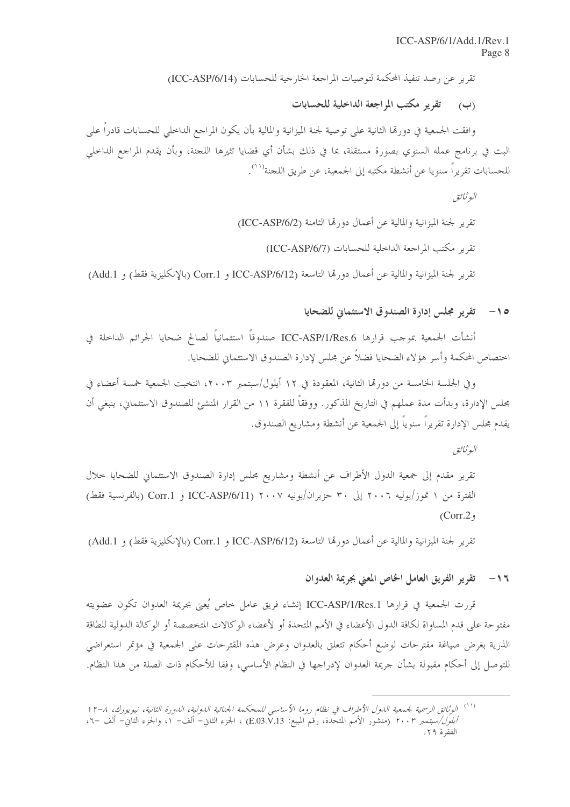تقرير عن رصد تنفيذ المحكمة لتوصيات المراجعة الخارجية للحسابات (ICC-ASP/6/14)

(ب) تقرير مكتب المراجعة الداخلية للحسابات

وافقت الجمعية في دورمّا الثانية على توصية لجنة الميزانية والمالية بأن يكون المراجع الداخلي للحسابات قادرا على البت في برنامج عمله السنوي بصورة مستقلة، بما في ذلك بشأن أي قضايا تثيرها اللجنة، وبأن يقدم المراجع الداخلي للحسابات تقريراً سنويا عن أنشطة مكتبه إلى الجمعية، عن طريق اللجنة'''.

البوثيائق تقرير لجنة الميزانية والمالية عن أعمال دورتما الثامنة (ICC-ASP/6/2) تقرير مكتب المراجعة الداخلية للحسابات (ICC-ASP/6/7) تقرير لجنة الميزانية والمالية عن أعمال دورتما التاسعة (ICC-ASP/6/12 و Corr.1 (بالإنكليزية فقط) و Add.1)

0 1- تقرير مجلس إدارة الصندوق الاستئماني للضحايا

أنشأت الجمعية بموجب قرارها ICC-ASP/1/Res.6 صندوقاً استئمانياً لصالح ضحايا الجرائم الداحلة في اختصاص المحكمة وأسر هؤلاء الضحايا فضلاً عن مجلس لإدارة الصندوق الاستئماني للضحايا.

وفي الجلسة الخامسة من دورةما الثانية، المعقودة في ١٢ أيلول/سيتمبر ٢٠٠٣، انتخبت الجمعية خمسة أعضاء في مجلس الإدارة، وبدأت مدة عملهم في التاريخ المذكور. ووفقاً للفقرة ١١ من القرار المنشئ للصندوق الاستئماني، ينبغي أن يقدم مجلس الإدارة تقريراً سنوياً إلى الجمعية عن أنشطة ومشاريع الصندوق.

البوثيائق

تقرير مقدم إلى جمعية الدول الأطراف عن أنشطة ومشاريع مجلس إدارة الصندوق الاستئماني للضحايا خلال الفترة من ١ تموز/يوليه ٢٠٠٦ إلى ٣٠ حزيران/يونيه ٢٠٠٧ (ICC-ASP/6/11 و Corr.1 (بالفرنسية فقط)  $(Corr. 2, 1)$ 

تقرير لجنة الميزانية والمالية عن أعمال دورتما التاسعة (ICC-ASP/6/12 و Corr.1 (بالإنكليزية فقط) و Add.1)

١٦- تقرير الفريق العامل الخاص المعنى بجريمة العدوان

قررت الجمعية في قرارها ICC-ASP/1/Res.1 إنشاء فريق عامل خاص يُعيي بجريمة العدوان تكون عضويته مفتوحة على قدم المساواة لكافة الدول الأعضاء في الأمم المتحدة أو لأعضاء الوكالات المتخصصة أو الوكالة الدولية للطاقة الذرية بغرض صياغة مقترحات لوضع أحكام تتعلق بالعدوان وعرض هذه المقترحات على الجمعية في مؤتمر استعراضي للتوصل إلى أحكام مقبولة بشأن جريمة العدوان لإدراجها في النظام الأساسي، وفقا للأحكام ذات الصلة من هذا النظام.

<sup>&</sup>lt;sup>(١١)</sup> الوثائق الرسمية لجمعية الدول الأطراف في نظام روما الأساسي للمحكمة الجنائية الدولية، الدورة الثانية، نيويورك، ٨-١٢ *أيلول/سبتمبر ٢٠٠٣* (منشور الأمم المتحدة، رُقم المبيع: E.O3.V.13) ، الجزء الثاني– ألف– ١، والجزء الثاني– ألف –٦، الفقرة ٢٩.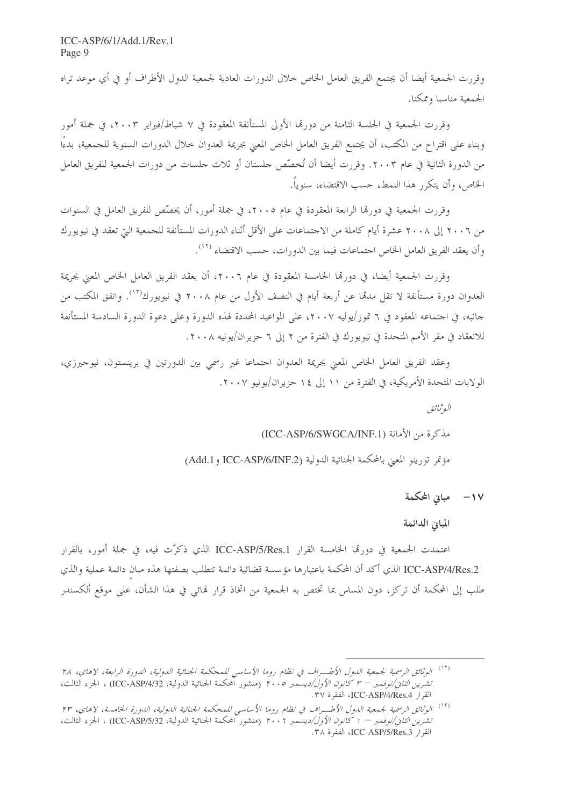وقررت الجمعية أيضا أن يجتمع الفريق العامل الخاص خلال الدورات العادية لجمعية الدول الأطراف أو في أي موعد تراه الجمعية مناسبا وممكنا.

وقررت الجمعية في الجلسة الثامنة من دورتما الأولى المستأنفة المعقودة في ٧ شباط/فبراير ٢٠٠٣، في جملة أمور وبناء على اقتراح من المكتب، أن يجتمع الفريق العامل الخاص المعنى بجريمة العدوان حلال الدورات السنوية للجمعية، بدءًا من الدورة الثانية في عام ٢٠٠٣. وقررت أيضا أن تُخصِّص حلستان أو ثلاث حلسات من دورات الجمعية للفريق العامل الخاص، وأن يتكرَّر هذا النمط، حسب الاقتضاء، سنوياً.

وقررت الجمعية في دورهّا الرابعة المعقودة في عام ٢٠٠٥، في جملة أمور، أن يخصّص للفريق العامل في السنوات من ٢٠٠٦ إلى ٢٠٠٨ عشرة أيام كاملة من الاجتماعات على الأقل أثناء الدورات المستأنفة للجمعية التي تعقد في نيويورك وأن يعقد الفريق العامل الخاص اجتماعات فيما بين الدورات، حسب الاقتضاء (١٢).

وقررت الجمعية أيضا، في دورهّا الخامسة المعقودة في عام ٢٠٠٦، أن يعقد الفريق العامل الخاص المعنى بجريمة العدوان دورة مستأنفة لا تقل مدمّا عن أربعة أيام في النصف الأول من عام ٢٠٠٨ في نيويورك'``. واتفق المكتب من جانبه، في اجتماعه المعقود في ٦ قموز/يوليه ٢٠٠٧، على المواعيد المحددة لهذه الدورة وعلى دعوة الدورة السادسة المستأنفة للانعقاد في مقر الأمم المتحدة في نيويورك في الفترة من ٢ إلى ٦ حزيران/يونيه ٢٠٠٨.

وعقد الفريق العامل الخاص المعين بجريمة العدوان اجتماعا غير رسمي بين الدورتين في برينستون، نيوجيرزي، الولايات المتحدة الأمريكية، في الفترة من ١١ إلى ١٤ حزيران/يونيو ٢٠٠٧.

> البوثيائق مذكرة من الأمانة (ICC-ASP/6/SWGCA/INF.1) مؤتمر تورينو المعنى بالمحكمة الجنائية الدولية (Add.1 و Add.1) (Add.1)

> > ١٧ – مبانی المحکمة

المبانى الدائمة

اعتمدت الجمعية في دورتما الخامسة القرار ICC-ASP/5/Res.1 الذي ذكرّت فيه، في جملة أمور، بالقرار ICC-ASP/4/Res.2 الذي أكد أن المحكمة باعتبارها مؤسسة قضائية دائمة تتطلب بصفتها هذه مبان دائمة عملية والذي طلب إلى المحكمة أن تركز، دون المساس بما تختص به الجمعية من اتخاذ قرار فمائي في هذا الشأن، على موقع ألكسندر

<sup>&</sup>lt;sup>(١٢)</sup> الوثائق الرسمية لجمعية الدول الأطــراف في نظام روما الأساسي للمحكمة الجنائية الدولية، الدورة الرابعة، لاهاي، ٢٨ ت*شرين الثاني/نوفمبر – ٣ كانون الأول/ديسمبر ٢٠٠٥* (منشور المحكمة الجنائية الدولية، ICC-ASP/4/32) ، الجزء الثالث، القرار ICC-ASP/4/Res.4]، الفقرة ٣٧.

<sup>&</sup>lt;sup>(١٣)</sup> الوثائق الرسمية لجمعية الدول الأطـــراف في نظام روما الأساسي للمحكمة الجنائية الدولية، الدورة الخامسة، لاهاي، ٢٣ تشيريين *الثاني/نوفيمبر — 1 كانون الأول/ديسمبر ٢٠٠٦* (منشور المحكمة الجنائية الدولية، ICC-ASP/5/32) ، الجزء الثالث، القرار ICC-ASP/5/Res.3]، الفقرة ٣٨.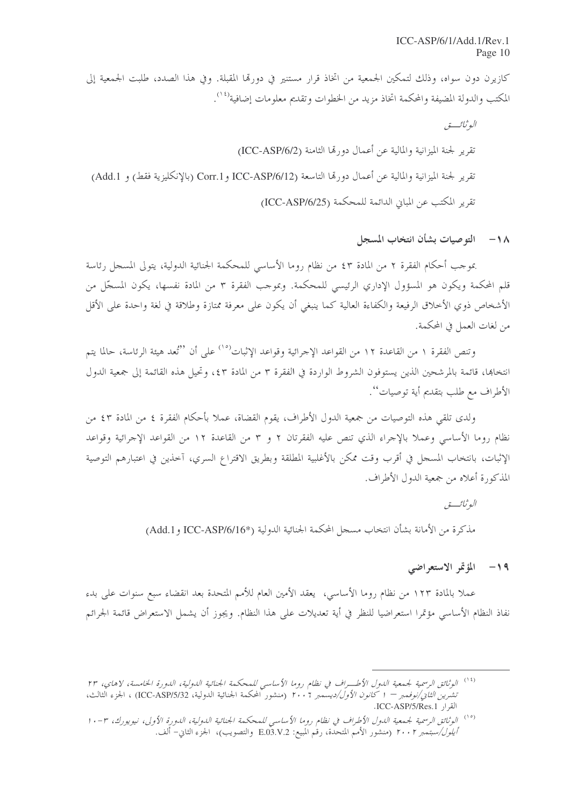كازيرن دون سواه، وذلك لتمكين الجمعية من اتخاذ قرار مستنير في دورقما المقبلة. وفي هذا الصدد، طلبت الجمعية إلى المكتب والدولة المضيفة والمحكمة اتخاذ مزيد من الخطوات وتقديم معلومات إضافية<sup>(٢١</sup>٠).

N \− التوصيات بشأن انتخاب المسجل

بموجب أحكام الفقرة ٢ من المادة ٤٣ من نظام روما الأساسي للمحكمة الجنائية الدولية، يتولى المسجل رئاسة قلم المحكمة ويكون هو المسؤول الإداري الرئيسي للمحكمة. وبموجب الفقرة ٣ من المادة نفسها، يكون المسجّل من الأشخاص ذوي الأحلاق الرفيعة والكفاءة العالية كما ينبغي أن يكون على معرفة ممتازة وطلاقة في لغة واحدة على الأقل من لغات العمل في المحكمة.

وتنص الفقرة ١ من القاعدة ١٢ من القواعد الإجرائية وقواعد الإثبات<sup>(١٥)</sup> على أن "ثعد هيئة الرئاسة، حالما يتم انتخابها، قائمة بالمرشحين الذين يستوفون الشروط الواردة في الفقرة ٣ من المادة ٤٣، وتحيل هذه القائمة إلى جمعية الدول الأطراف مع طلب بتقديم أية توصيات''.

ولدى تلقى هذه التوصيات من جمعية الدول الأطراف، يقوم القضاة، عملاً بأحكام الفقرة ٤ من المادة ٤٣ من نظام روما الأساسي وعملا بالإجراء الذي تنص عليه الفقرتان ٢ و ٣ من القاعدة ١٢ من القواعد الإجرائية وقواعد الإثبات، بانتخاب المسحل في أقرب وقت ممكن بالأغلبية المطلقة وبطريق الاقتراع السري، آخذين في اعتبارهم التوصية المذكورة أعلاه من جمعية الدول الأطراف.

البو ثبائب تو

مذكرة من الأمانة بشأن انتخاب مسجل المحكمة الجنائية الدولية (\*ICC-ASP/6/16 و Add.1)

## 19 – المؤتمر الاستعراضي

عملاً بالمادة ١٢٣ من نظام روما الأساسي، يعقد الأمين العام للأمم المتحدة بعد انقضاء سبع سنوات على بدء نفاذ النظام الأساسي مؤتمرا استعراضيا للنظر في أية تعديلات على هذا النظام. ويجوز أن يشمل الاستعراض قائمة الجرائم

<sup>&</sup>lt;sup>(١٤)</sup> الوثائق الرسمية لجمعية الدول الأطـــراف في نظام روما الأساسي للمحكمة الجنائية الدولية، الدورة الخامسة، لاهاي، ٢٣ ت*شرين الثاني/نوفمبر − ١ كانون الأول/ديسمبر ٢٠٠٦* (منشور ًالمحكمة الجنائية الدولية، ICC-ASP/5/32) ، الجزء الثالث، القرار ICC-ASP/5/Res.1.

<sup>&</sup>lt;sup>(١٥)</sup> الوثائق الرسمية لجمعية الدول الأطراف في نظام روما الأساسي للمحكمة الجنائية الدولية، الدورة الأولى، نيويورك، ٣-١٠ *أيلول/سبتمبر ٢٠٠٢* (منشور الأمم المتحدة، رقم المبيع: E.03.V.2 والتصويب)، الجزء الثاني– ألف.